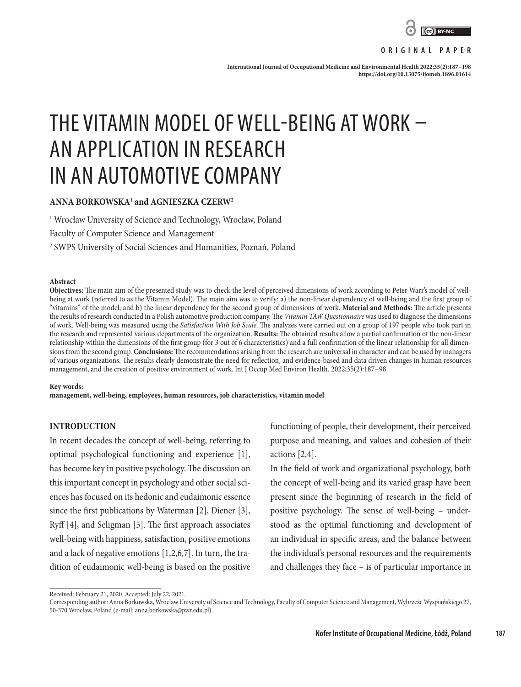

**International Journal of Occupational Medicine and Environmental Health 2022;35(2):187–198 <https://doi.org/10.13075/ijomeh.1896.01614>**

# THE VITAMIN MODEL OF WELL-BEING AT WORK – AN APPLICATION IN RESEARCH IN AN AUTOMOTIVE COMPANY

## **ANNA BORKOWSKA1 and AGNIESZKA CZERW2**

1 Wrocław University of Science and Technology, Wrocław, Poland

Faculty of Computer Science and Management

2 SWPS University of Social Sciences and Humanities, Poznań, Poland

#### **Abstract**

**Objectives:** The main aim of the presented study was to check the level of perceived dimensions of work according to Peter Warr's model of wellbeing at work (referred to as the Vitamin Model). The main aim was to verify: a) the non-linear dependency of well-being and the first group of "vitamins" of the model; and b) the linear dependency for the second group of dimensions of work. **Material and Methods:** The article presents the results of research conducted in a Polish automotive production company. The *Vitamin TAW Questionnaire* was used to diagnose the dimensions of work. Well-being was measured using the *Satisfaction With Job Scale*. The analyzes were carried out on a group of 197 people who took part in the research and represented various departments of the organization. **Results:** The obtained results allow a partial confirmation of the non-linear relationship within the dimensions of the first group (for 3 out of 6 characteristics) and a full confirmation of the linear relationship for all dimensions from the second group. **Conclusions:** The recommendations arising from the research are universal in character and can be used by managers of various organizations. The results clearly demonstrate the need for reflection, and evidence-based and data driven changes in human resources management, and the creation of positive environment of work. Int J Occup Med Environ Health. 2022;35(2):187–98

#### **Key words:**

**management, well-being, employees, human resources, job characteristics, vitamin model**

### **INTRODUCTION**

In recent decades the concept of well-being, referring to optimal psychological functioning and experience [1], has become key in positive psychology. The discussion on this important concept in psychology and other social sciences has focused on its hedonic and eudaimonic essence since the first publications by Waterman [2], Diener [3], Ryff [4], and Seligman [5]. The first approach associates well-being with happiness, satisfaction, positive emotions and a lack of negative emotions [1,2,6,7]. In turn, the tradition of eudaimonic well-being is based on the positive

functioning of people, their development, their perceived purpose and meaning, and values and cohesion of their actions [2,4].

In the field of work and organizational psychology, both the concept of well-being and its varied grasp have been present since the beginning of research in the field of positive psychology. The sense of well-being – understood as the optimal functioning and development of an individual in specific areas, and the balance between the individual's personal resources and the requirements and challenges they face – is of particular importance in

Received: February 21, 2020. Accepted: July 22, 2021.

Corresponding author: Anna Borkowska, Wrocław University of Science and Technology, Faculty of Computer Science and Management, Wybrzeże Wyspiańskiego 27, 50-370 Wrocław, Poland (e-mail: anna.borkowska@pwr.edu.pl).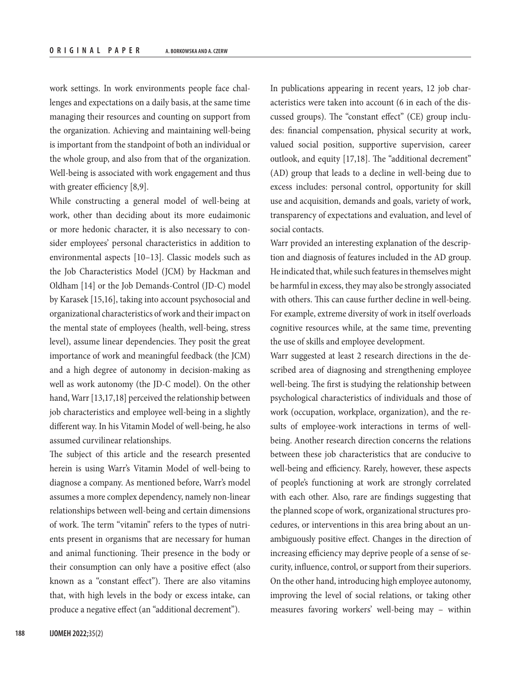work settings. In work environments people face challenges and expectations on a daily basis, at the same time managing their resources and counting on support from the organization. Achieving and maintaining well-being is important from the standpoint of both an individual or the whole group, and also from that of the organization. Well-being is associated with work engagement and thus with greater efficiency [8,9].

While constructing a general model of well-being at work, other than deciding about its more eudaimonic or more hedonic character, it is also necessary to consider employees' personal characteristics in addition to environmental aspects [10–13]. Classic models such as the Job Characteristics Model (JCM) by Hackman and Oldham [14] or the Job Demands-Control (JD-C) model by Karasek [15,16], taking into account psychosocial and organizational characteristics of work and their impact on the mental state of employees (health, well-being, stress level), assume linear dependencies. They posit the great importance of work and meaningful feedback (the JCM) and a high degree of autonomy in decision-making as well as work autonomy (the JD-C model). On the other hand, Warr [13,17,18] perceived the relationship between job characteristics and employee well-being in a slightly different way. In his Vitamin Model of well-being, he also assumed curvilinear relationships.

The subject of this article and the research presented herein is using Warr's Vitamin Model of well-being to diagnose a company. As mentioned before, Warr's model assumes a more complex dependency, namely non-linear relationships between well-being and certain dimensions of work. The term "vitamin" refers to the types of nutrients present in organisms that are necessary for human and animal functioning. Their presence in the body or their consumption can only have a positive effect (also known as a "constant effect"). There are also vitamins that, with high levels in the body or excess intake, can produce a negative effect (an "additional decrement").

In publications appearing in recent years, 12 job characteristics were taken into account (6 in each of the discussed groups). The "constant effect" (CE) group includes: financial compensation, physical security at work, valued social position, supportive supervision, career outlook, and equity [17,18]. The "additional decrement" (AD) group that leads to a decline in well-being due to excess includes: personal control, opportunity for skill use and acquisition, demands and goals, variety of work, transparency of expectations and evaluation, and level of social contacts.

Warr provided an interesting explanation of the description and diagnosis of features included in the AD group. He indicated that, while such features in themselves might be harmful in excess, they may also be strongly associated with others. This can cause further decline in well-being. For example, extreme diversity of work in itself overloads cognitive resources while, at the same time, preventing the use of skills and employee development.

Warr suggested at least 2 research directions in the described area of diagnosing and strengthening employee well-being. The first is studying the relationship between psychological characteristics of individuals and those of work (occupation, workplace, organization), and the results of employee-work interactions in terms of wellbeing. Another research direction concerns the relations between these job characteristics that are conducive to well-being and efficiency. Rarely, however, these aspects of people's functioning at work are strongly correlated with each other. Also, rare are findings suggesting that the planned scope of work, organizational structures procedures, or interventions in this area bring about an unambiguously positive effect. Changes in the direction of increasing efficiency may deprive people of a sense of security, influence, control, or support from their superiors. On the other hand, introducing high employee autonomy, improving the level of social relations, or taking other measures favoring workers' well-being may – within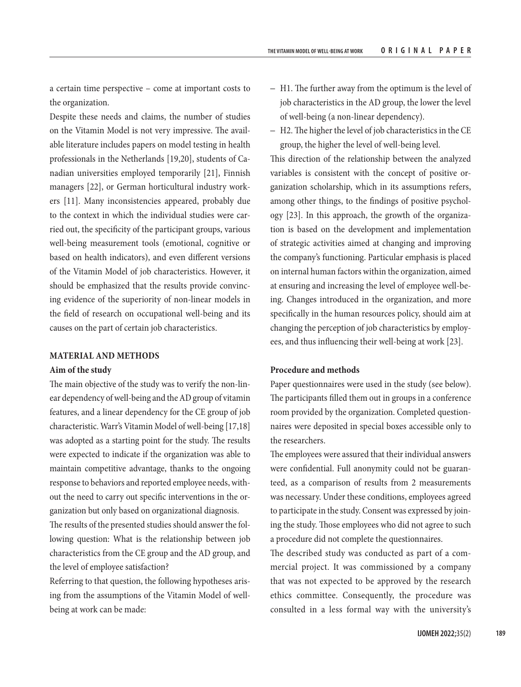a certain time perspective – come at important costs to the organization.

Despite these needs and claims, the number of studies on the Vitamin Model is not very impressive. The available literature includes papers on model testing in health professionals in the Netherlands [19,20], students of Canadian universities employed temporarily [21], Finnish managers [22], or German horticultural industry workers [11]. Many inconsistencies appeared, probably due to the context in which the individual studies were carried out, the specificity of the participant groups, various well-being measurement tools (emotional, cognitive or based on health indicators), and even different versions of the Vitamin Model of job characteristics. However, it should be emphasized that the results provide convincing evidence of the superiority of non-linear models in the field of research on occupational well-being and its causes on the part of certain job characteristics.

## **MATERIAL AND METHODS**

#### **Aim of the study**

The main objective of the study was to verify the non-linear dependency of well-being and the AD group of vitamin features, and a linear dependency for the CE group of job characteristic. Warr's Vitamin Model of well-being [17,18] was adopted as a starting point for the study. The results were expected to indicate if the organization was able to maintain competitive advantage, thanks to the ongoing response to behaviors and reported employee needs, without the need to carry out specific interventions in the organization but only based on organizational diagnosis.

The results of the presented studies should answer the following question: What is the relationship between job characteristics from the CE group and the AD group, and the level of employee satisfaction?

Referring to that question, the following hypotheses arising from the assumptions of the Vitamin Model of wellbeing at work can be made:

- H1. The further away from the optimum is the level of job characteristics in the AD group, the lower the level of well-being (a non-linear dependency).
- H2. The higher the level of job characteristics in the CE group, the higher the level of well-being level.

This direction of the relationship between the analyzed variables is consistent with the concept of positive organization scholarship, which in its assumptions refers, among other things, to the findings of positive psychology [23]. In this approach, the growth of the organization is based on the development and implementation of strategic activities aimed at changing and improving the company's functioning. Particular emphasis is placed on internal human factors within the organization, aimed at ensuring and increasing the level of employee well-being. Changes introduced in the organization, and more specifically in the human resources policy, should aim at changing the perception of job characteristics by employees, and thus influencing their well-being at work [23].

## **Procedure and methods**

Paper questionnaires were used in the study (see below). The participants filled them out in groups in a conference room provided by the organization. Completed questionnaires were deposited in special boxes accessible only to the researchers.

The employees were assured that their individual answers were confidential. Full anonymity could not be guaranteed, as a comparison of results from 2 measurements was necessary. Under these conditions, employees agreed to participate in the study. Consent was expressed by joining the study. Those employees who did not agree to such a procedure did not complete the questionnaires.

The described study was conducted as part of a commercial project. It was commissioned by a company that was not expected to be approved by the research ethics committee. Consequently, the procedure was consulted in a less formal way with the university's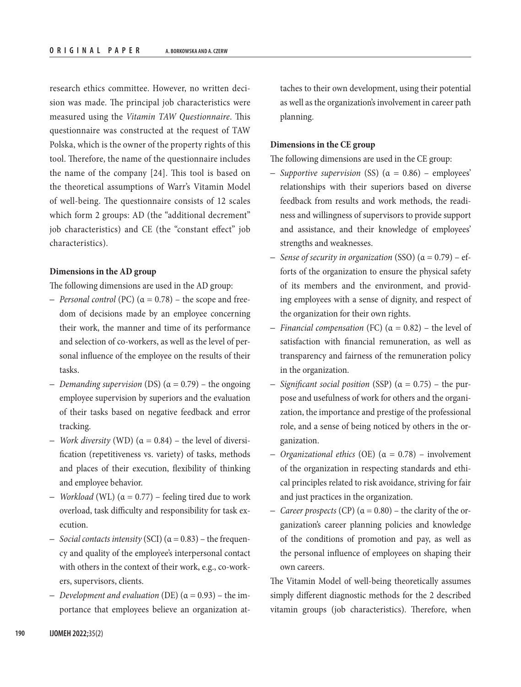research ethics committee. However, no written decision was made. The principal job characteristics were measured using the *Vitamin TAW Questionnaire*. This questionnaire was constructed at the request of TAW Polska, which is the owner of the property rights of this tool. Therefore, the name of the questionnaire includes the name of the company [24]. This tool is based on the theoretical assumptions of Warr's Vitamin Model of well-being. The questionnaire consists of 12 scales which form 2 groups: AD (the "additional decrement" job characteristics) and CE (the "constant effect" job characteristics).

#### **Dimensions in the AD group**

The following dimensions are used in the AD group:

- *Personal control* (PC) (α = 0.78) the scope and freedom of decisions made by an employee concerning their work, the manner and time of its performance and selection of co-workers, as well as the level of personal influence of the employee on the results of their tasks.
- *Demanding supervision* (DS) (α = 0.79) the ongoing employee supervision by superiors and the evaluation of their tasks based on negative feedback and error tracking.
- *Work diversity* (WD) (α = 0.84) the level of diversification (repetitiveness vs. variety) of tasks, methods and places of their execution, flexibility of thinking and employee behavior.
- *Workload* (WL) (α = 0.77) feeling tired due to work overload, task difficulty and responsibility for task execution.
- *Social contacts intensity* (SCI) (α = 0.83) the frequency and quality of the employee's interpersonal contact with others in the context of their work, e.g., co-workers, supervisors, clients.
- *Development and evaluation* (DE) (α = 0.93) the importance that employees believe an organization at-

taches to their own development, using their potential as well as the organization's involvement in career path planning.

## **Dimensions in the CE group**

The following dimensions are used in the CE group:

- *Supportive supervision* (SS) (α = 0.86) employees' relationships with their superiors based on diverse feedback from results and work methods, the readiness and willingness of supervisors to provide support and assistance, and their knowledge of employees' strengths and weaknesses.
- *Sense of security in organization* (SSO) (α = 0.79) efforts of the organization to ensure the physical safety of its members and the environment, and providing employees with a sense of dignity, and respect of the organization for their own rights.
- *Financial compensation* (FC) (α = 0.82) the level of satisfaction with financial remuneration, as well as transparency and fairness of the remuneration policy in the organization.
- *Significant social position* (SSP) (α = 0.75) the purpose and usefulness of work for others and the organization, the importance and prestige of the professional role, and a sense of being noticed by others in the organization.
- *Organizational ethics* (OE) (α = 0.78) involvement of the organization in respecting standards and ethical principles related to risk avoidance, striving for fair and just practices in the organization.
- *Career prospects* (CP) (α = 0.80) the clarity of the organization's career planning policies and knowledge of the conditions of promotion and pay, as well as the personal influence of employees on shaping their own careers.

The Vitamin Model of well-being theoretically assumes simply different diagnostic methods for the 2 described vitamin groups (job characteristics). Therefore, when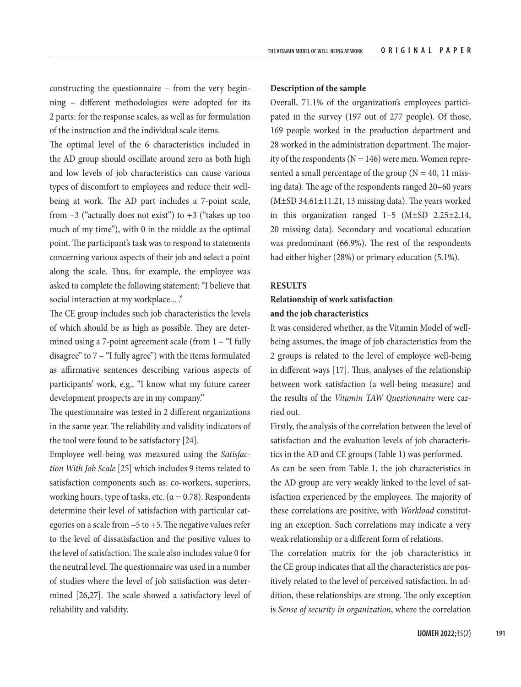constructing the questionnaire – from the very beginning – different methodologies were adopted for its 2 parts: for the response scales, as well as for formulation of the instruction and the individual scale items.

The optimal level of the 6 characteristics included in the AD group should oscillate around zero as both high and low levels of job characteristics can cause various types of discomfort to employees and reduce their wellbeing at work. The AD part includes a 7-point scale, from  $-3$  ("actually does not exist") to  $+3$  ("takes up too much of my time"), with 0 in the middle as the optimal point. The participant's task was to respond to statements concerning various aspects of their job and select a point along the scale. Thus, for example, the employee was asked to complete the following statement: "I believe that social interaction at my workplace... ."

The CE group includes such job characteristics the levels of which should be as high as possible. They are determined using a 7-point agreement scale (from 1 – "I fully disagree" to 7 – "I fully agree") with the items formulated as affirmative sentences describing various aspects of participants' work, e.g., "I know what my future career development prospects are in my company."

The questionnaire was tested in 2 different organizations in the same year. The reliability and validity indicators of the tool were found to be satisfactory [24].

Employee well-being was measured using the *Satisfaction With Job Scale* [25] which includes 9 items related to satisfaction components such as: co-workers, superiors, working hours, type of tasks, etc. ( $\alpha$  = 0.78). Respondents determine their level of satisfaction with particular categories on a scale from –5 to +5. The negative values refer to the level of dissatisfaction and the positive values to the level of satisfaction. The scale also includes value 0 for the neutral level. The questionnaire was used in a number of studies where the level of job satisfaction was determined [26,27]. The scale showed a satisfactory level of reliability and validity.

#### **Description of the sample**

Overall, 71.1% of the organization's employees participated in the survey (197 out of 277 people). Of those, 169 people worked in the production department and 28 worked in the administration department. The majority of the respondents ( $N = 146$ ) were men. Women represented a small percentage of the group ( $N = 40$ , 11 missing data). The age of the respondents ranged 20–60 years  $(M±SD 34.61±11.21, 13$  missing data). The years worked in this organization ranged 1–5 (M±SD 2.25±2.14, 20 missing data). Secondary and vocational education was predominant (66.9%). The rest of the respondents had either higher (28%) or primary education (5.1%).

#### **RESULTS**

## **Relationship of work satisfaction and the job characteristics**

It was considered whether, as the Vitamin Model of wellbeing assumes, the image of job characteristics from the 2 groups is related to the level of employee well-being in different ways [17]. Thus, analyses of the relationship between work satisfaction (a well-being measure) and the results of the *Vitamin TAW Questionnaire* were carried out.

Firstly, the analysis of the correlation between the level of satisfaction and the evaluation levels of job characteristics in the AD and CE groups (Table 1) was performed.

As can be seen from Table 1, the job characteristics in the AD group are very weakly linked to the level of satisfaction experienced by the employees. The majority of these correlations are positive, with *Workload* constituting an exception. Such correlations may indicate a very weak relationship or a different form of relations.

The correlation matrix for the job characteristics in the CE group indicates that all the characteristics are positively related to the level of perceived satisfaction. In addition, these relationships are strong. The only exception is *Sense of security in organization*, where the correlation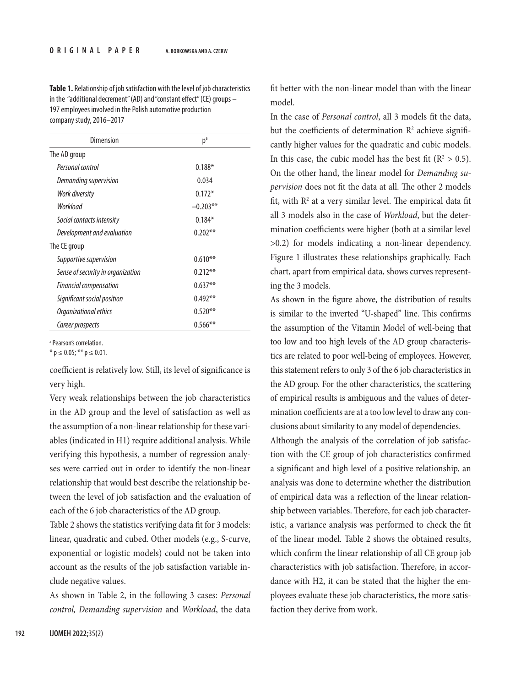**Table 1.** Relationship of job satisfaction with the level of job characteristics in the "additional decrement" (AD) and "constant effect" (CE) groups – 197 employees involved in the Polish automotive production company study, 2016–2017

| Dimension                         | p <sup>a</sup> |  |  |  |
|-----------------------------------|----------------|--|--|--|
| The AD group                      |                |  |  |  |
| Personal control                  | $0.188*$       |  |  |  |
| Demanding supervision             | 0.034          |  |  |  |
| Work diversity                    | $0.172*$       |  |  |  |
| Workload                          | $-0.203**$     |  |  |  |
| Social contacts intensity         | $0.184*$       |  |  |  |
| Development and evaluation        | $0.202***$     |  |  |  |
| The CE group                      |                |  |  |  |
| Supportive supervision            | $0.610***$     |  |  |  |
| Sense of security in organization | $0.212**$      |  |  |  |
| <b>Financial compensation</b>     | $0.637**$      |  |  |  |
| Significant social position       | $0.492**$      |  |  |  |
| Organizational ethics             | $0.520**$      |  |  |  |
| Career prospects                  | $0.566***$     |  |  |  |

a Pearson's correlation.

 $*$  p  $\leq$  0.05; \*\* p  $\leq$  0.01.

coefficient is relatively low. Still, its level of significance is very high.

Very weak relationships between the job characteristics in the AD group and the level of satisfaction as well as the assumption of a non-linear relationship for these variables (indicated in H1) require additional analysis. While verifying this hypothesis, a number of regression analyses were carried out in order to identify the non-linear relationship that would best describe the relationship between the level of job satisfaction and the evaluation of each of the 6 job characteristics of the AD group.

Table 2 shows the statistics verifying data fit for 3 models: linear, quadratic and cubed. Other models (e.g., S-curve, exponential or logistic models) could not be taken into account as the results of the job satisfaction variable include negative values.

As shown in Table 2, in the following 3 cases: *Personal control, Demanding supervision* and *Workload*, the data fit better with the non-linear model than with the linear model.

In the case of *Personal control*, all 3 models fit the data, but the coefficients of determination  $\mathbb{R}^2$  achieve significantly higher values for the quadratic and cubic models. In this case, the cubic model has the best fit ( $\mathbb{R}^2 > 0.5$ ). On the other hand, the linear model for *Demanding supervision* does not fit the data at all. The other 2 models fit, with  $\mathbb{R}^2$  at a very similar level. The empirical data fit all 3 models also in the case of *Workload*, but the determination coefficients were higher (both at a similar level >0.2) for models indicating a non-linear dependency. Figure 1 illustrates these relationships graphically. Each chart, apart from empirical data, shows curves representing the 3 models.

As shown in the figure above, the distribution of results is similar to the inverted "U-shaped" line. This confirms the assumption of the Vitamin Model of well-being that too low and too high levels of the AD group characteristics are related to poor well-being of employees. However, this statement refers to only 3 of the 6 job characteristics in the AD group. For the other characteristics, the scattering of empirical results is ambiguous and the values of determination coefficients are at a too low level to draw any conclusions about similarity to any model of dependencies.

Although the analysis of the correlation of job satisfaction with the CE group of job characteristics confirmed a significant and high level of a positive relationship, an analysis was done to determine whether the distribution of empirical data was a reflection of the linear relationship between variables. Therefore, for each job characteristic, a variance analysis was performed to check the fit of the linear model. Table 2 shows the obtained results, which confirm the linear relationship of all CE group job characteristics with job satisfaction. Therefore, in accordance with H2, it can be stated that the higher the employees evaluate these job characteristics, the more satisfaction they derive from work.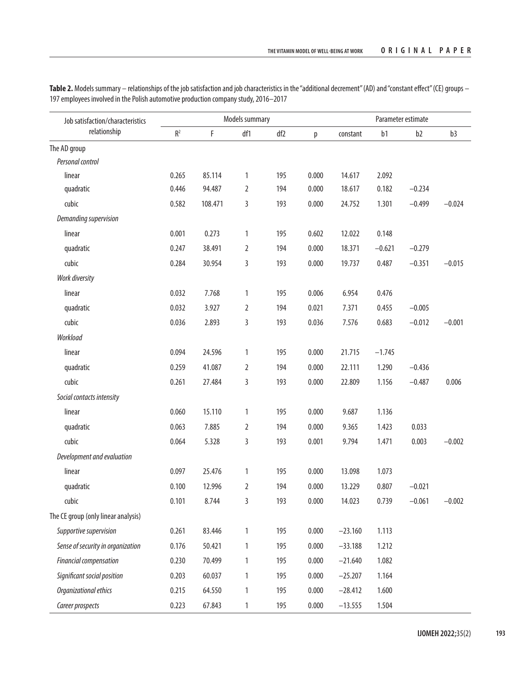| Job satisfaction/characteristics<br>relationship | Models summary |             |                |     |       | Parameter estimate |          |                |          |
|--------------------------------------------------|----------------|-------------|----------------|-----|-------|--------------------|----------|----------------|----------|
|                                                  | R <sup>2</sup> | $\mathsf F$ | df1            | df2 | p     | constant           | b1       | b <sub>2</sub> | b3       |
| The AD group                                     |                |             |                |     |       |                    |          |                |          |
| Personal control                                 |                |             |                |     |       |                    |          |                |          |
| linear                                           | 0.265          | 85.114      | 1              | 195 | 0.000 | 14.617             | 2.092    |                |          |
| quadratic                                        | 0.446          | 94.487      | $\overline{2}$ | 194 | 0.000 | 18.617             | 0.182    | $-0.234$       |          |
| cubic                                            | 0.582          | 108.471     | 3              | 193 | 0.000 | 24.752             | 1.301    | $-0.499$       | $-0.024$ |
| Demanding supervision                            |                |             |                |     |       |                    |          |                |          |
| linear                                           | 0.001          | 0.273       | $\mathbf{1}$   | 195 | 0.602 | 12.022             | 0.148    |                |          |
| quadratic                                        | 0.247          | 38.491      | $\overline{2}$ | 194 | 0.000 | 18.371             | $-0.621$ | $-0.279$       |          |
| cubic                                            | 0.284          | 30.954      | 3              | 193 | 0.000 | 19.737             | 0.487    | $-0.351$       | $-0.015$ |
| Work diversity                                   |                |             |                |     |       |                    |          |                |          |
| linear                                           | 0.032          | 7.768       | 1              | 195 | 0.006 | 6.954              | 0.476    |                |          |
| quadratic                                        | 0.032          | 3.927       | $\overline{2}$ | 194 | 0.021 | 7.371              | 0.455    | $-0.005$       |          |
| cubic                                            | 0.036          | 2.893       | 3              | 193 | 0.036 | 7.576              | 0.683    | $-0.012$       | $-0.001$ |
| Workload                                         |                |             |                |     |       |                    |          |                |          |
| linear                                           | 0.094          | 24.596      | 1              | 195 | 0.000 | 21.715             | $-1.745$ |                |          |
| quadratic                                        | 0.259          | 41.087      | $\overline{2}$ | 194 | 0.000 | 22.111             | 1.290    | $-0.436$       |          |
| cubic                                            | 0.261          | 27.484      | 3              | 193 | 0.000 | 22.809             | 1.156    | $-0.487$       | 0.006    |
| Social contacts intensity                        |                |             |                |     |       |                    |          |                |          |
| linear                                           | 0.060          | 15.110      | 1              | 195 | 0.000 | 9.687              | 1.136    |                |          |
| quadratic                                        | 0.063          | 7.885       | $\overline{2}$ | 194 | 0.000 | 9.365              | 1.423    | 0.033          |          |
| cubic                                            | 0.064          | 5.328       | 3              | 193 | 0.001 | 9.794              | 1.471    | 0.003          | $-0.002$ |
| Development and evaluation                       |                |             |                |     |       |                    |          |                |          |
| linear                                           | 0.097          | 25.476      | 1              | 195 | 0.000 | 13.098             | 1.073    |                |          |
| quadratic                                        | 0.100          | 12.996      | $\overline{2}$ | 194 | 0.000 | 13.229             | 0.807    | $-0.021$       |          |
| cubic                                            | 0.101          | 8.744       | 3              | 193 | 0.000 | 14.023             | 0.739    | $-0.061$       | $-0.002$ |
| The CE group (only linear analysis)              |                |             |                |     |       |                    |          |                |          |
| Supportive supervision                           | 0.261          | 83.446      | $\mathbbm{1}$  | 195 | 0.000 | $-23.160$          | 1.113    |                |          |
| Sense of security in organization                | 0.176          | 50.421      | 1              | 195 | 0.000 | $-33.188$          | 1.212    |                |          |
| <b>Financial compensation</b>                    | 0.230          | 70.499      | 1              | 195 | 0.000 | $-21.640$          | 1.082    |                |          |
| Significant social position                      | 0.203          | 60.037      | 1              | 195 | 0.000 | $-25.207$          | 1.164    |                |          |
| Organizational ethics                            | 0.215          | 64.550      | $\mathbf{1}$   | 195 | 0.000 | $-28.412$          | 1.600    |                |          |
| Career prospects                                 | 0.223          | 67.843      | $\mathbf{1}$   | 195 | 0.000 | $-13.555$          | 1.504    |                |          |

Table 2. Models summary - relationships of the job satisfaction and job characteristics in the "additional decrement" (AD) and "constant effect" (CE) groups -197 employees involved in the Polish automotive production company study, 2016–2017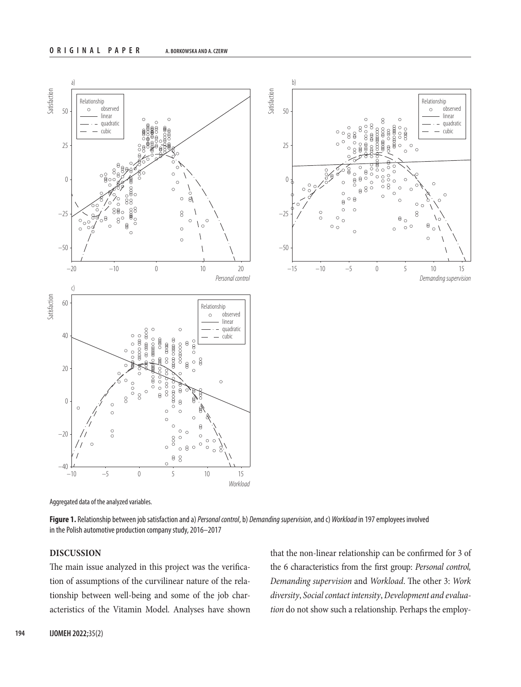

Aggregated data of the analyzed variables.

**Figure 1.** Relationship between job satisfaction and a) *Personal control*, b) *Demanding supervision*, and c) *Workload* in 197 employees involved in the Polish automotive production company study, 2016–2017

## **DISCUSSION**

The main issue analyzed in this project was the verification of assumptions of the curvilinear nature of the relationship between well-being and some of the job characteristics of the Vitamin Model. Analyses have shown

that the non-linear relationship can be confirmed for 3 of the 6 characteristics from the first group: *Personal control, Demanding supervision* and *Workload*. The other 3: *Work diversity*, *Social contact intensity*, *Development and evaluation* do not show such a relationship. Perhaps the employ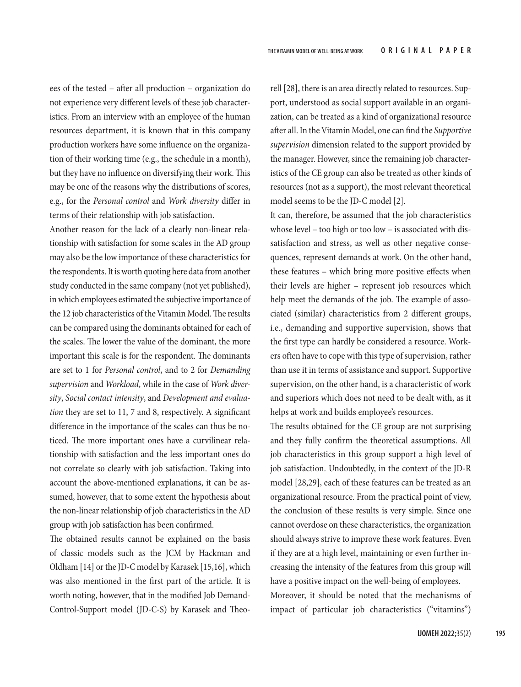ees of the tested – after all production – organization do not experience very different levels of these job characteristics. From an interview with an employee of the human resources department, it is known that in this company production workers have some influence on the organization of their working time (e.g., the schedule in a month), but they have no influence on diversifying their work. This may be one of the reasons why the distributions of scores, e.g., for the *Personal control* and *Work diversity* differ in terms of their relationship with job satisfaction.

Another reason for the lack of a clearly non-linear relationship with satisfaction for some scales in the AD group may also be the low importance of these characteristics for the respondents. It is worth quoting here data from another study conducted in the same company (not yet published), in which employees estimated the subjective importance of the 12 job characteristics of the Vitamin Model. The results can be compared using the dominants obtained for each of the scales. The lower the value of the dominant, the more important this scale is for the respondent. The dominants are set to 1 for *Personal control*, and to 2 for *Demanding supervision* and *Workload*, while in the case of *Work diversity*, *Social contact intensity*, and *Development and evaluation* they are set to 11, 7 and 8, respectively. A significant difference in the importance of the scales can thus be noticed. The more important ones have a curvilinear relationship with satisfaction and the less important ones do not correlate so clearly with job satisfaction. Taking into account the above-mentioned explanations, it can be assumed, however, that to some extent the hypothesis about the non-linear relationship of job characteristics in the AD group with job satisfaction has been confirmed.

The obtained results cannot be explained on the basis of classic models such as the JCM by Hackman and Oldham [14] or the JD-C model by Karasek [15,16], which was also mentioned in the first part of the article. It is worth noting, however, that in the modified Job Demand-Control-Support model (JD-C-S) by Karasek and Theo-

rell [28], there is an area directly related to resources. Support, understood as social support available in an organization, can be treated as a kind of organizational resource after all. In the Vitamin Model, one can find the *Supportive supervision* dimension related to the support provided by the manager. However, since the remaining job characteristics of the CE group can also be treated as other kinds of resources (not as a support), the most relevant theoretical model seems to be the JD-C model [2].

It can, therefore, be assumed that the job characteristics whose level – too high or too low – is associated with dissatisfaction and stress, as well as other negative consequences, represent demands at work. On the other hand, these features – which bring more positive effects when their levels are higher – represent job resources which help meet the demands of the job. The example of associated (similar) characteristics from 2 different groups, i.e., demanding and supportive supervision, shows that the first type can hardly be considered a resource. Workers often have to cope with this type of supervision, rather than use it in terms of assistance and support. Supportive supervision, on the other hand, is a characteristic of work and superiors which does not need to be dealt with, as it helps at work and builds employee's resources.

The results obtained for the CE group are not surprising and they fully confirm the theoretical assumptions. All job characteristics in this group support a high level of job satisfaction. Undoubtedly, in the context of the JD-R model [28,29], each of these features can be treated as an organizational resource. From the practical point of view, the conclusion of these results is very simple. Since one cannot overdose on these characteristics, the organization should always strive to improve these work features. Even if they are at a high level, maintaining or even further increasing the intensity of the features from this group will have a positive impact on the well-being of employees.

Moreover, it should be noted that the mechanisms of impact of particular job characteristics ("vitamins")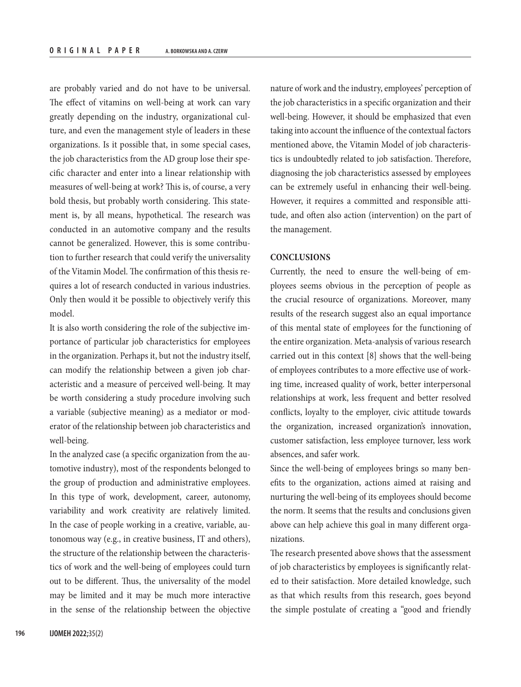are probably varied and do not have to be universal. The effect of vitamins on well-being at work can vary greatly depending on the industry, organizational culture, and even the management style of leaders in these organizations. Is it possible that, in some special cases, the job characteristics from the AD group lose their specific character and enter into a linear relationship with measures of well-being at work? This is, of course, a very bold thesis, but probably worth considering. This statement is, by all means, hypothetical. The research was conducted in an automotive company and the results cannot be generalized. However, this is some contribution to further research that could verify the universality of the Vitamin Model. The confirmation of this thesis requires a lot of research conducted in various industries. Only then would it be possible to objectively verify this model.

It is also worth considering the role of the subjective importance of particular job characteristics for employees in the organization. Perhaps it, but not the industry itself, can modify the relationship between a given job characteristic and a measure of perceived well-being. It may be worth considering a study procedure involving such a variable (subjective meaning) as a mediator or moderator of the relationship between job characteristics and well-being.

In the analyzed case (a specific organization from the automotive industry), most of the respondents belonged to the group of production and administrative employees. In this type of work, development, career, autonomy, variability and work creativity are relatively limited. In the case of people working in a creative, variable, autonomous way (e.g., in creative business, IT and others), the structure of the relationship between the characteristics of work and the well-being of employees could turn out to be different. Thus, the universality of the model may be limited and it may be much more interactive in the sense of the relationship between the objective

nature of work and the industry, employees' perception of the job characteristics in a specific organization and their well-being. However, it should be emphasized that even taking into account the influence of the contextual factors mentioned above, the Vitamin Model of job characteristics is undoubtedly related to job satisfaction. Therefore, diagnosing the job characteristics assessed by employees can be extremely useful in enhancing their well-being. However, it requires a committed and responsible attitude, and often also action (intervention) on the part of the management.

#### **CONCLUSIONS**

Currently, the need to ensure the well-being of employees seems obvious in the perception of people as the crucial resource of organizations. Moreover, many results of the research suggest also an equal importance of this mental state of employees for the functioning of the entire organization. Meta-analysis of various research carried out in this context [8] shows that the well-being of employees contributes to a more effective use of working time, increased quality of work, better interpersonal relationships at work, less frequent and better resolved conflicts, loyalty to the employer, civic attitude towards the organization, increased organization's innovation, customer satisfaction, less employee turnover, less work absences, and safer work.

Since the well-being of employees brings so many benefits to the organization, actions aimed at raising and nurturing the well-being of its employees should become the norm. It seems that the results and conclusions given above can help achieve this goal in many different organizations.

The research presented above shows that the assessment of job characteristics by employees is significantly related to their satisfaction. More detailed knowledge, such as that which results from this research, goes beyond the simple postulate of creating a "good and friendly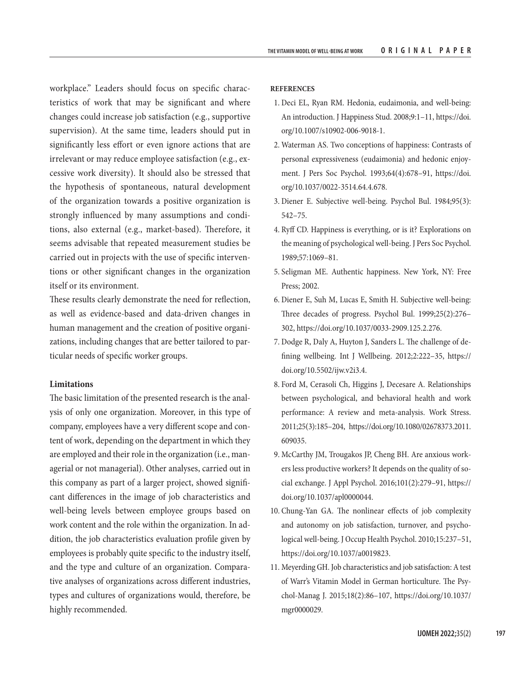workplace." Leaders should focus on specific characteristics of work that may be significant and where changes could increase job satisfaction (e.g., supportive supervision). At the same time, leaders should put in significantly less effort or even ignore actions that are irrelevant or may reduce employee satisfaction (e.g., excessive work diversity). It should also be stressed that the hypothesis of spontaneous, natural development of the organization towards a positive organization is strongly influenced by many assumptions and conditions, also external (e.g., market-based). Therefore, it seems advisable that repeated measurement studies be carried out in projects with the use of specific interventions or other significant changes in the organization itself or its environment.

These results clearly demonstrate the need for reflection, as well as evidence-based and data-driven changes in human management and the creation of positive organizations, including changes that are better tailored to particular needs of specific worker groups.

#### **Limitations**

The basic limitation of the presented research is the analysis of only one organization. Moreover, in this type of company, employees have a very different scope and content of work, depending on the department in which they are employed and their role in the organization (i.e., managerial or not managerial). Other analyses, carried out in this company as part of a larger project, showed significant differences in the image of job characteristics and well-being levels between employee groups based on work content and the role within the organization. In addition, the job characteristics evaluation profile given by employees is probably quite specific to the industry itself, and the type and culture of an organization. Comparative analyses of organizations across different industries, types and cultures of organizations would, therefore, be highly recommended.

#### **REFERENCES**

- 1. Deci EL, Ryan RM. Hedonia, eudaimonia, and well-being: An introduction. J Happiness Stud. 2008;9:1–11, [https://doi.](https://doi.org/10.1007/s10902-006-9018-1) [org/10.1007/s10902-006-9018-1](https://doi.org/10.1007/s10902-006-9018-1).
- 2. Waterman AS. Two conceptions of happiness: Contrasts of personal expressiveness (eudaimonia) and hedonic enjoyment. J Pers Soc Psychol. 1993;64(4):678–91, [https://doi.](https://doi.org/10.1037/0022-3514.64.4.678) [org/10.1037/0022-3514.64.4.678.](https://doi.org/10.1037/0022-3514.64.4.678)
- 3. Diener E. Subjective well-being. Psychol Bul. 1984;95(3): 542–75.
- 4. Ryff CD. Happiness is everything, or is it? Explorations on the meaning of psychological well-being. J Pers Soc Psychol. 1989;57:1069–81.
- 5. Seligman ME. Authentic happiness. New York, NY: Free Press; 2002.
- 6. Diener E, Suh M, Lucas E, Smith H. Subjective well-being: Three decades of progress. Psychol Bul. 1999;25(2):276– 302,<https://doi.org/10.1037/0033-2909.125.2.276>.
- 7. Dodge R, Daly A, Huyton J, Sanders L. The challenge of defining wellbeing. Int J Wellbeing. 2012;2:222–35, [https://](https://doi.org/10.5502/ijw.v2i3.4) [doi.org/10.5502/ijw.v2i3.4](https://doi.org/10.5502/ijw.v2i3.4).
- 8. Ford M, Cerasoli Ch, Higgins J, Decesare A. Relationships between psychological, and behavioral health and work performance: A review and meta-analysis. Work Stress. 2011;25(3):185–204, [https://doi.org/10.1080/02678373.2011.](https://doi.org/10.1080/02678373.2011.609035) [609035](https://doi.org/10.1080/02678373.2011.609035).
- 9. McCarthy JM, Trougakos JP, Cheng BH. Are anxious workers less productive workers? It depends on the quality of social exchange. J Appl Psychol. 2016;101(2):279–91, [https://](https://doi.org/10.1037/apl0000044) [doi.org/10.1037/apl0000044.](https://doi.org/10.1037/apl0000044)
- 10. Chung-Yan GA. The nonlinear effects of job complexity and autonomy on job satisfaction, turnover, and psychological well-being. J Occup Health Psychol. 2010;15:237–51, <https://doi.org/10.1037/a0019823>.
- 11. Meyerding GH. Job characteristics and job satisfaction: A test of Warr's Vitamin Model in German horticulture. The Psychol-Manag J. 2015;18(2):86–107, [https://doi.org/10.1037/](https://doi.org/10.1037/mgr0000029) [mgr0000029](https://doi.org/10.1037/mgr0000029).